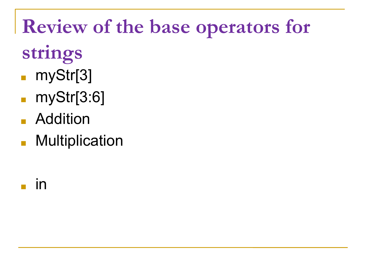## **Review of the base operators for**

- **strings**
- myStr[3]
- myStr[3:6]
- Addition
- Multiplication
- in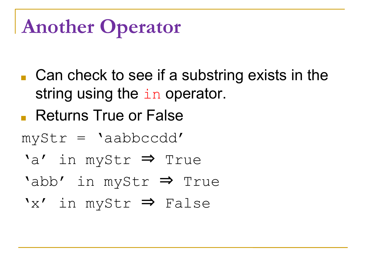## **Another Operator**

- $\blacksquare$  Can check to see if a substring exists in the string using the in operator.
- Returns True or False

myStr = 'aabbccdd'

- 'a' in myStr ⇒ True
- 'abb' in myStr ⇒ True
- 'x' in myStr ⇒ False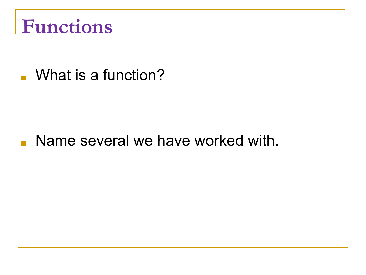## **Functions**

■ What is a function?

#### ■ Name several we have worked with.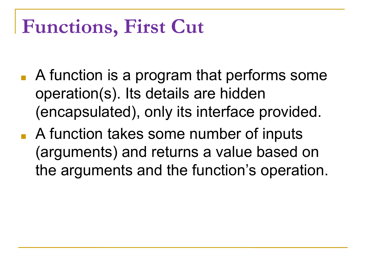### **Functions, First Cut**

- A function is a program that performs some operation(s). Its details are hidden (encapsulated), only its interface provided.
- A function takes some number of inputs (arguments) and returns a value based on the arguments and the function's operation.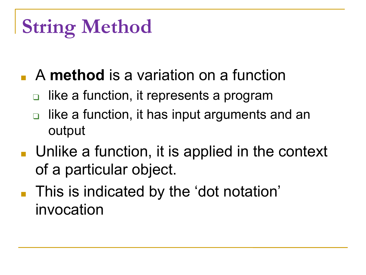## **String Method**

- A **method** is a variation on a function
	- like a function, it represents a program
	- like a function, it has input arguments and an output
- $\blacksquare$  Unlike a function, it is applied in the context of a particular object.
- This is indicated by the 'dot notation' invocation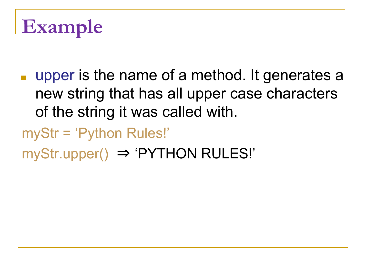## **Example**

- upper is the name of a method. It generates a new string that has all upper case characters of the string it was called with.
- myStr = 'Python Rules!'
- myStr.upper() ⇒ 'PYTHON RULES!'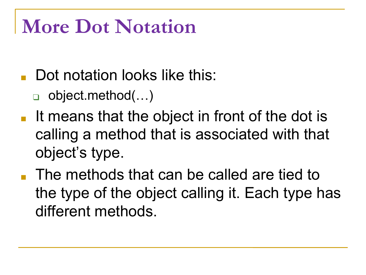### **More Dot Notation**

- Dot notation looks like this:
	- ❑ object.method(…)
- It means that the object in front of the dot is calling a method that is associated with that object's type.
- The methods that can be called are tied to the type of the object calling it. Each type has different methods.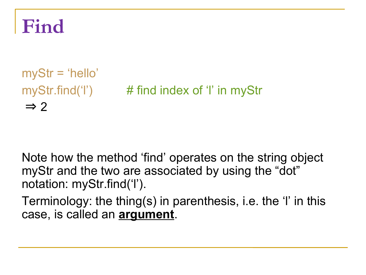#### **Find**

myStr = 'hello' myStr.find('l') # find index of 'l' in myStr  $\Rightarrow$  2

Note how the method 'find' operates on the string object myStr and the two are associated by using the "dot" notation: myStr.find('l').

Terminology: the thing(s) in parenthesis, i.e. the 'l' in this case, is called an **argument**.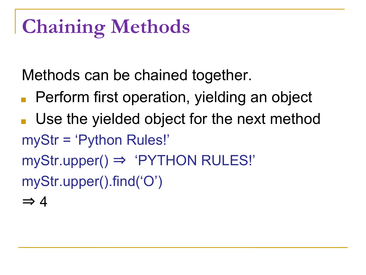## **Chaining Methods**

Methods can be chained together.

- Perform first operation, yielding an object
- Use the yielded object for the next method myStr = 'Python Rules!'
- myStr.upper() ⇒ 'PYTHON RULES!'

myStr.upper().find('O')

 $\Rightarrow$  4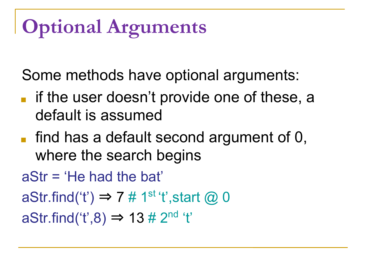## **Optional Arguments**

Some methods have optional arguments:

- if the user doesn't provide one of these, a default is assumed
- $\blacksquare$  find has a default second argument of 0, where the search begins
- aStr = 'He had the bat'
- aStr.find('t')  $\Rightarrow$  7 # 1<sup>st</sup> 't', start @ 0

aStr.find('t',8)  $\Rightarrow$  13 # 2<sup>nd</sup> 't'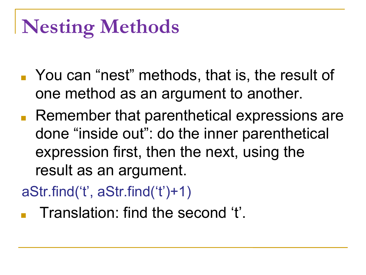## **Nesting Methods**

- You can "nest" methods, that is, the result of one method as an argument to another.
- Remember that parenthetical expressions are done "inside out": do the inner parenthetical expression first, then the next, using the result as an argument.

aStr.find('t', aStr.find('t')+1)

Translation: find the second 't'.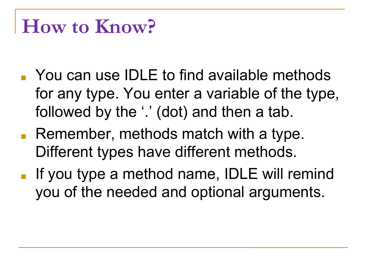#### **How to Know?**

- You can use IDLE to find available methods for any type. You enter a variable of the type, followed by the '.' (dot) and then a tab.
- Remember, methods match with a type. Different types have different methods.
- If you type a method name, IDLE will remind you of the needed and optional arguments.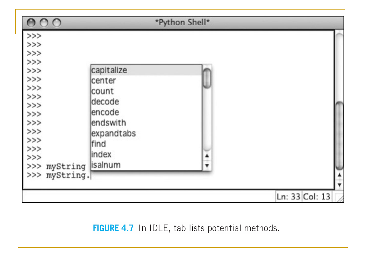| $\circ$                 |                    | *Python Shell* |                |
|-------------------------|--------------------|----------------|----------------|
| $>>>$                   |                    |                |                |
| $>>>$                   |                    |                |                |
| $>>>$                   |                    |                |                |
| $>>>$                   |                    |                |                |
|                         | capitalize         |                |                |
| $>>$                    | center             |                |                |
| $\frac{\gamma}{\gamma}$ | count              |                |                |
|                         |                    |                |                |
|                         | decode             |                |                |
| $>>>$                   | lencode            |                |                |
| $>>$                    | endswith           |                |                |
|                         | expandtabs         |                |                |
| $>>>$                   | find               |                |                |
| $>>>$                   |                    |                |                |
| >>                      | index              |                |                |
| >>                      | myString   isalnum |                |                |
| >>> myString.           |                    |                |                |
|                         |                    |                |                |
|                         |                    |                | Ln: 33 Col: 13 |

#### FIGURE 4.7 In IDLE, tab lists potential methods.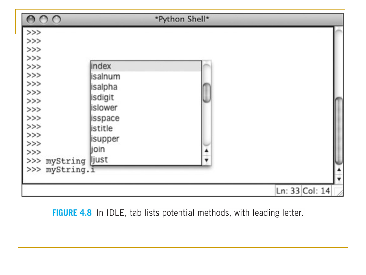| 000                 |                | *Python Shell* |                |
|---------------------|----------------|----------------|----------------|
| >>                  |                |                |                |
| >>                  |                |                |                |
| >>                  |                |                |                |
| >>                  |                |                |                |
| >>                  | index          |                |                |
| >>                  | isalnum        |                |                |
| >>                  | isalpha        |                |                |
| >>                  |                |                |                |
| >>                  | isdigit        |                |                |
| >>                  | islower        |                |                |
| >>                  | <b>isspace</b> |                |                |
| >>                  | istitle        |                |                |
| >>                  | isupper        |                |                |
| >>                  |                |                |                |
| >>                  | join           |                |                |
| >>> myString   just |                |                |                |
| >>> myString.i      |                |                |                |
|                     |                |                |                |
|                     |                |                | Ln: 33 Col: 14 |

FIGURE 4.8 In IDLE, tab lists potential methods, with leading letter.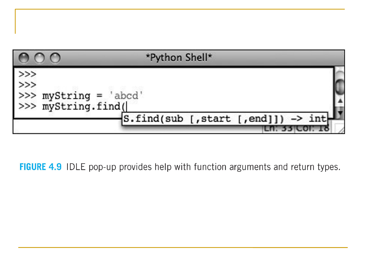

FIGURE 4.9 IDLE pop-up provides help with function arguments and return types.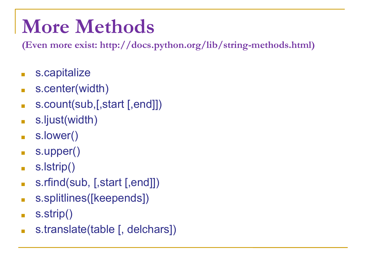## **More Methods**

**(Even more exist: http://docs.python.org/lib/string-methods.html)**

- s.capitalize
- s.center(width)
- s.count(sub,[,start [,end]])
- s.ljust(width)
- s.lower()
- s.upper()
- s.lstrip()
- s.rfind(sub, [,start [,end]])
- s.splitlines([keepends])
- $\blacksquare$  s.strip()
- s.translate(table [, delchars])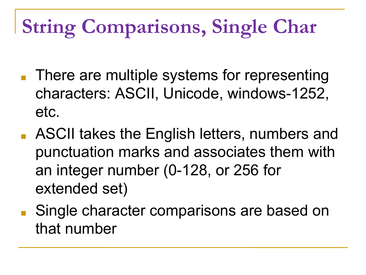## **String Comparisons, Single Char**

- There are multiple systems for representing characters: ASCII, Unicode, windows-1252, etc.
- ASCII takes the English letters, numbers and punctuation marks and associates them with an integer number (0-128, or 256 for extended set)
- Single character comparisons are based on that number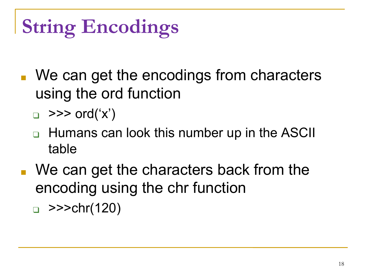# **String Encodings**

- We can get the encodings from characters using the ord function
	- $\Box$  >>> ord('x')
	- ❑ Humans can look this number up in the ASCII table
- We can get the characters back from the encoding using the chr function  $\Box$  >>>chr(120)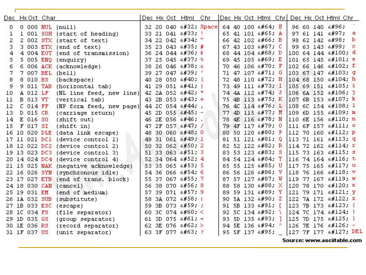|    |                 | Dec Hx Oct Char |                                      |  | Dec Hx Oct Html Chr     |                       |     |  |                          |  |  | Dec Hx Oct Html Chr Dec Hx Oct Html Chr |     |
|----|-----------------|-----------------|--------------------------------------|--|-------------------------|-----------------------|-----|--|--------------------------|--|--|-----------------------------------------|-----|
| 0  |                 |                 | 0 000 NUL (null)                     |  |                         | 32 20 040 4#32; Space |     |  | 64 40 100 4#64; 0        |  |  | 96 60 140 6#96;                         |     |
| 1  |                 |                 | 1 001 SOH (start of heading)         |  | 33 21 041 6#33; !       |                       | 65  |  | 41 101 6#65; A           |  |  | 97 61 141 6#97;                         | а   |
| 2  |                 |                 | 2 002 STX (start of text)            |  | 34 22 042 6#34;         |                       | 66  |  | 42 102 6#66; B           |  |  | 98 62 142 6#98;                         | b   |
| 3  |                 |                 | 3 003 ETX (end of text)              |  | 35 23 043 6#35; #       |                       | 67  |  | 43 103 6#67: C           |  |  | 99 63 143 6#99;                         | - 0 |
| 4  |                 |                 | 4 004 EOT (end of transmission)      |  | 36 24 044 6#36; \$      |                       | 68  |  | 44 104 6#68, D           |  |  | $10064144$ $*100;$ d                    |     |
| 5  |                 |                 | 5 005 ENQ (enquiry)                  |  | 37 25 045 6#37; %       |                       | 69  |  | 45 105 6#69. E           |  |  | 101 65 145 $\leq$ #101; e               |     |
| 6. |                 |                 | 6 006 ACK (acknowledge)              |  | 38 26 046 6#38; 6       |                       | 70  |  | 46 106 4#70. F           |  |  | 102 66 146 f f                          |     |
| 7. |                 |                 | 7 007 BEL (bell)                     |  | 39 27 047 6#39;         |                       | 71  |  | 47 107 $6#71: G$         |  |  | 103 67 147 6#103; g                     |     |
| 8  | 8 010 BS        |                 | (backspace)                          |  | 40 28 050 6#40; (       |                       | 72  |  | 48 110 6#72. H           |  |  | 104 68 150 6#104; h                     |     |
| 9  |                 |                 | 9 011 TAB (horizontal tab)           |  | 41 29 051 $6#41$ ; )    |                       | 73  |  | 49 111 6#73. I           |  |  | 105 69 151 «#105; i                     |     |
| 10 | A 012 LF        |                 | (NL line feed, new line)             |  | 42 2A 052 6#42; *       |                       | 74  |  | 4A 112 6#74; J           |  |  | 106 6A 152 j j                          |     |
| 11 | <b>B 013 VT</b> |                 | (vertical tab)                       |  | 43 2B 053 $6#43$ ; +    |                       | 75  |  | 4B 113 6#75; K           |  |  | 107 6B 153 6#107; k                     |     |
| 12 | C 014 FF        |                 | (NP form feed, new page)             |  | 44 2C 054 6#44;         |                       | 76  |  | 4C 114 $\frac{176}{1}$ L |  |  | 108 6C 154 $\frac{108}{108}$ ; 1        |     |
| 13 | <b>D 015 CR</b> |                 | (carriage return)                    |  | 45 2D 055 $6#45$ ; -    |                       | 77  |  | 4D 115 M. M              |  |  | 109 6D 155 m m                          |     |
| 14 | E 016 SO        |                 | (shift out)                          |  | 46 2E 056 6#46;.        |                       | 78  |  | 4E 116 6#78. N           |  |  | 110 6E 156 n n                          |     |
| 15 | F 017 SI        |                 | (shift in)                           |  | 47 2F 057 6#47; /       |                       | 79  |  | 4F 117 6#79: 0           |  |  | 111 6F 157 o 0                          |     |
| 16 |                 |                 | 10 020 DLE (data link escape)        |  | 48 30 060 4#48; 0       |                       | 80  |  | 50 120 $\&$ #80; P       |  |  | 112 70 160 p p                          |     |
|    |                 |                 | 17 11 021 DC1 (device control 1)     |  | 49 31 061 6#49; 1       |                       | 81  |  | 51 121 6#81: 0           |  |  | 113 71 161 q q                          |     |
|    |                 |                 | 18 12 022 DC2 (device control 2)     |  | 50 32 062 4#50; 2       |                       | 82  |  | 52 122 6#82. R           |  |  | $11472162$ $6#114$ ; r                  |     |
| 19 |                 |                 | 13 023 DC3 (device control 3)        |  | 51 33 063 6#51; 3       |                       | 83  |  | 53 123 6#83; S           |  |  | 115 73 163 6#115; s                     |     |
|    |                 |                 | 20 14 024 DC4 (device control 4)     |  | 52 34 064 6#52; 4       |                       |     |  | 84 54 124 6#84; T        |  |  | $11674164$ $\leqslant$ #116; t          |     |
|    |                 |                 | 21 15 025 NAK (negative acknowledge) |  | 53 35 065 6#53; 5       |                       |     |  | 85 55 125 6#85; U        |  |  | 117 75 165 u u                          |     |
|    |                 |                 | 22 16 026 SYN (synchronous idle)     |  | 54 36 066 6#54; 6       |                       | 86  |  | 56 126 6#86. V           |  |  | 118 76 166 $\frac{118}{V}$              |     |
|    |                 |                 | 23 17 027 ETB (end of trans. block)  |  | 55 37 067 6#55; 7       |                       | 87  |  | 57 127 6#87: W           |  |  | 119 77 167 w W                          |     |
|    |                 |                 | 24 18 030 CAN (cancel)               |  | 56 38 070 4#56; 8       |                       | 88  |  | 58 130 6#88; X           |  |  | 120 78 170 6#120; X                     |     |
|    | 25 19 031 EM    |                 | (end of medium)                      |  | 57 39 071 6#57; 9       |                       | 89  |  | 59 131 6#89; Y           |  |  | 121 79 171 6#121; Y                     |     |
|    | 26 1A 032 SUB   |                 | (substitute)                         |  | 58 3A 072 6#58; :       |                       | 90  |  | 5A 132 6#90, Z           |  |  | 122 7A 172 z z                          |     |
|    | 27 1B 033 ESC   |                 | (escape)                             |  | 59 3B 073 6#59; ;       |                       | 91  |  | 5B 133 [                 |  |  | 123 7B 173 $6#123$ ; {                  |     |
|    | 28 1C 034 FS    |                 | (file separator)                     |  | 60 3C 074 $\leq$ #60; < |                       | 92  |  | 5C 134 $6#92$ ; \        |  |  | 124 7C 174                              |     |
|    | 29 1D 035 GS    |                 | (group separator)                    |  | 61 3D 075 $6#61$ ; =    |                       | 93. |  | 5D 135 6#93; ]           |  |  | 125 7D 175 6#125;                       |     |
|    | 30 1E 036 RS    |                 | (record separator)                   |  | 62 3E 076 $\leq$ #62; > |                       |     |  | 94 SE 136 6#94; ^        |  |  | 126 7E 176 $\frac{126}{126}$            |     |
|    | 31 1F 037 US    |                 | (unit separator)                     |  | 63 3F 077 6#63; ?       |                       |     |  | 95 5F 137 6#95;          |  |  | 127 7F 177  DEL                         |     |

Source: www.asciitable.com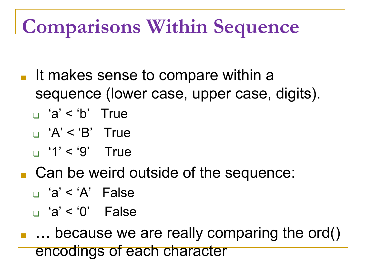## **Comparisons Within Sequence**

- It makes sense to compare within a sequence (lower case, upper case, digits).
	- ❑ 'a' < 'b' True
	- $\Box$  'A' < 'B' True
	- $\Box$  '1' < '9' True
- Can be weird outside of the sequence:
	- ❑ 'a' < 'A' False
	- ❑ 'a' < '0' False
- … because we are really comparing the ord() encodings of each character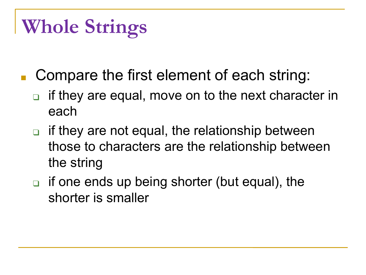## **Whole Strings**

- Compare the first element of each string:
	- ❑ if they are equal, move on to the next character in each
	- if they are not equal, the relationship between those to characters are the relationship between the string
	- ❑ if one ends up being shorter (but equal), the shorter is smaller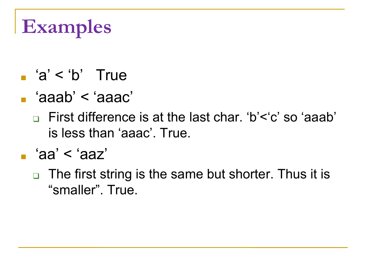## **Examples**

- $a' < b'$  True
- 'aaab' < 'aaac'
	- ❑ First difference is at the last char. 'b'<'c' so 'aaab' is less than 'aaac'. True.
- 'aa' < 'aaz'
	- ❑ The first string is the same but shorter. Thus it is "smaller". True.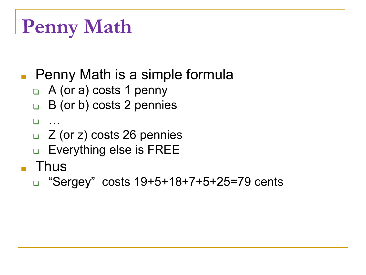## **Penny Math**

- Penny Math is a simple formula
	- ❑ A (or a) costs 1 penny
	- ❑ B (or b) costs 2 pennies
	- ❑ …
	- ❑ Z (or z) costs 26 pennies
	- ❑ Everything else is FREE
- Thus
	- ❑ "Sergey" costs 19+5+18+7+5+25=79 cents